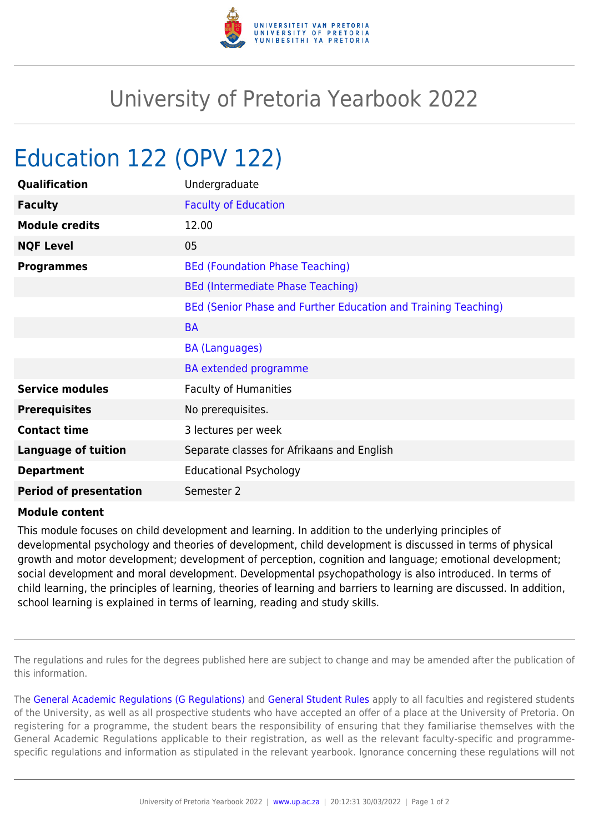

## University of Pretoria Yearbook 2022

## Education 122 (OPV 122)

| Qualification                 | Undergraduate                                                  |
|-------------------------------|----------------------------------------------------------------|
| <b>Faculty</b>                | <b>Faculty of Education</b>                                    |
| <b>Module credits</b>         | 12.00                                                          |
| <b>NQF Level</b>              | 05                                                             |
| <b>Programmes</b>             | <b>BEd (Foundation Phase Teaching)</b>                         |
|                               | <b>BEd (Intermediate Phase Teaching)</b>                       |
|                               | BEd (Senior Phase and Further Education and Training Teaching) |
|                               | <b>BA</b>                                                      |
|                               | <b>BA (Languages)</b>                                          |
|                               | <b>BA</b> extended programme                                   |
| <b>Service modules</b>        | <b>Faculty of Humanities</b>                                   |
| <b>Prerequisites</b>          | No prerequisites.                                              |
| <b>Contact time</b>           | 3 lectures per week                                            |
| <b>Language of tuition</b>    | Separate classes for Afrikaans and English                     |
| <b>Department</b>             | <b>Educational Psychology</b>                                  |
| <b>Period of presentation</b> | Semester 2                                                     |

## **Module content**

This module focuses on child development and learning. In addition to the underlying principles of developmental psychology and theories of development, child development is discussed in terms of physical growth and motor development; development of perception, cognition and language; emotional development; social development and moral development. Developmental psychopathology is also introduced. In terms of child learning, the principles of learning, theories of learning and barriers to learning are discussed. In addition, school learning is explained in terms of learning, reading and study skills.

The regulations and rules for the degrees published here are subject to change and may be amended after the publication of this information.

The [General Academic Regulations \(G Regulations\)](https://www.up.ac.za/mechanical-and-aeronautical-engineering/yearbooks/2022/rules/view/REG) and [General Student Rules](https://www.up.ac.za/mechanical-and-aeronautical-engineering/yearbooks/2022/rules/view/RUL) apply to all faculties and registered students of the University, as well as all prospective students who have accepted an offer of a place at the University of Pretoria. On registering for a programme, the student bears the responsibility of ensuring that they familiarise themselves with the General Academic Regulations applicable to their registration, as well as the relevant faculty-specific and programmespecific regulations and information as stipulated in the relevant yearbook. Ignorance concerning these regulations will not